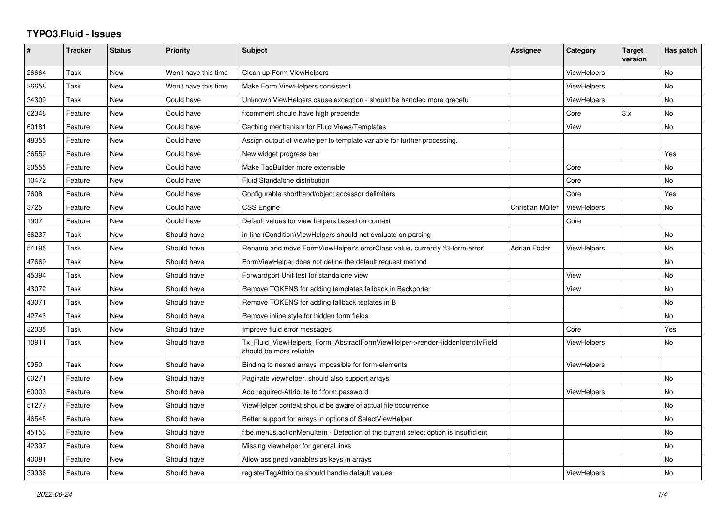## **TYPO3.Fluid - Issues**

| $\pmb{\#}$ | <b>Tracker</b> | <b>Status</b> | <b>Priority</b>      | <b>Subject</b>                                                                                         | <b>Assignee</b>  | Category           | <b>Target</b><br>version | Has patch |
|------------|----------------|---------------|----------------------|--------------------------------------------------------------------------------------------------------|------------------|--------------------|--------------------------|-----------|
| 26664      | Task           | New           | Won't have this time | Clean up Form ViewHelpers                                                                              |                  | <b>ViewHelpers</b> |                          | <b>No</b> |
| 26658      | Task           | <b>New</b>    | Won't have this time | Make Form ViewHelpers consistent                                                                       |                  | <b>ViewHelpers</b> |                          | <b>No</b> |
| 34309      | Task           | New           | Could have           | Unknown ViewHelpers cause exception - should be handled more graceful                                  |                  | ViewHelpers        |                          | No        |
| 62346      | Feature        | New           | Could have           | f:comment should have high precende                                                                    |                  | Core               | 3.x                      | No        |
| 60181      | Feature        | <b>New</b>    | Could have           | Caching mechanism for Fluid Views/Templates                                                            |                  | View               |                          | <b>No</b> |
| 48355      | Feature        | New           | Could have           | Assign output of viewhelper to template variable for further processing.                               |                  |                    |                          |           |
| 36559      | Feature        | New           | Could have           | New widget progress bar                                                                                |                  |                    |                          | Yes       |
| 30555      | Feature        | New           | Could have           | Make TagBuilder more extensible                                                                        |                  | Core               |                          | No        |
| 10472      | Feature        | <b>New</b>    | Could have           | Fluid Standalone distribution                                                                          |                  | Core               |                          | <b>No</b> |
| 7608       | Feature        | New           | Could have           | Configurable shorthand/object accessor delimiters                                                      |                  | Core               |                          | Yes       |
| 3725       | Feature        | <b>New</b>    | Could have           | <b>CSS Engine</b>                                                                                      | Christian Müller | <b>ViewHelpers</b> |                          | <b>No</b> |
| 1907       | Feature        | New           | Could have           | Default values for view helpers based on context                                                       |                  | Core               |                          |           |
| 56237      | Task           | New           | Should have          | in-line (Condition) View Helpers should not evaluate on parsing                                        |                  |                    |                          | <b>No</b> |
| 54195      | Task           | New           | Should have          | Rename and move FormViewHelper's errorClass value, currently 'f3-form-error'                           | Adrian Föder     | <b>ViewHelpers</b> |                          | No        |
| 47669      | Task           | <b>New</b>    | Should have          | FormViewHelper does not define the default request method                                              |                  |                    |                          | <b>No</b> |
| 45394      | Task           | <b>New</b>    | Should have          | Forwardport Unit test for standalone view                                                              |                  | View               |                          | No        |
| 43072      | Task           | <b>New</b>    | Should have          | Remove TOKENS for adding templates fallback in Backporter                                              |                  | View               |                          | No        |
| 43071      | Task           | <b>New</b>    | Should have          | Remove TOKENS for adding fallback teplates in B                                                        |                  |                    |                          | <b>No</b> |
| 42743      | Task           | <b>New</b>    | Should have          | Remove inline style for hidden form fields                                                             |                  |                    |                          | <b>No</b> |
| 32035      | Task           | New           | Should have          | Improve fluid error messages                                                                           |                  | Core               |                          | Yes       |
| 10911      | Task           | <b>New</b>    | Should have          | Tx Fluid ViewHelpers Form AbstractFormViewHelper->renderHiddenIdentityField<br>should be more reliable |                  | <b>ViewHelpers</b> |                          | No        |
| 9950       | Task           | <b>New</b>    | Should have          | Binding to nested arrays impossible for form-elements                                                  |                  | <b>ViewHelpers</b> |                          |           |
| 60271      | Feature        | New           | Should have          | Paginate viewhelper, should also support arrays                                                        |                  |                    |                          | No        |
| 60003      | Feature        | <b>New</b>    | Should have          | Add required-Attribute to f:form.password                                                              |                  | <b>ViewHelpers</b> |                          | <b>No</b> |
| 51277      | Feature        | <b>New</b>    | Should have          | ViewHelper context should be aware of actual file occurrence                                           |                  |                    |                          | <b>No</b> |
| 46545      | Feature        | New           | Should have          | Better support for arrays in options of SelectViewHelper                                               |                  |                    |                          | No        |
| 45153      | Feature        | New           | Should have          | f:be.menus.actionMenuItem - Detection of the current select option is insufficient                     |                  |                    |                          | No        |
| 42397      | Feature        | <b>New</b>    | Should have          | Missing viewhelper for general links                                                                   |                  |                    |                          | <b>No</b> |
| 40081      | Feature        | New           | Should have          | Allow assigned variables as keys in arrays                                                             |                  |                    |                          | No        |
| 39936      | Feature        | <b>New</b>    | Should have          | registerTagAttribute should handle default values                                                      |                  | ViewHelpers        |                          | <b>No</b> |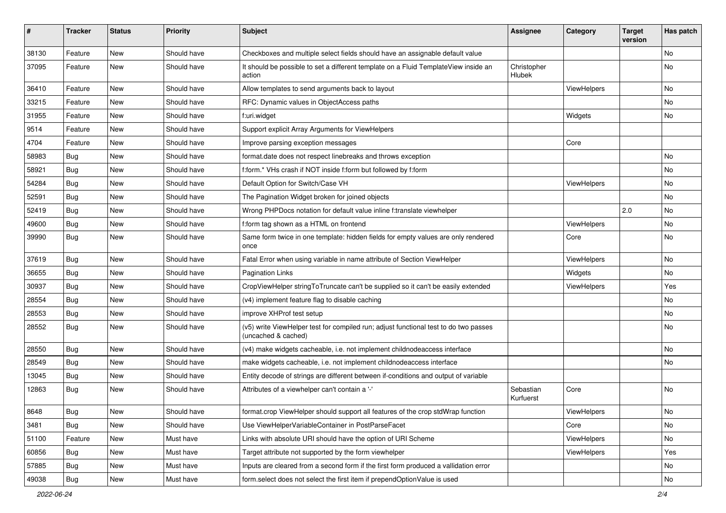| #     | <b>Tracker</b> | <b>Status</b> | <b>Priority</b> | Subject                                                                                                     | <b>Assignee</b>        | Category    | <b>Target</b><br>version | Has patch |
|-------|----------------|---------------|-----------------|-------------------------------------------------------------------------------------------------------------|------------------------|-------------|--------------------------|-----------|
| 38130 | Feature        | New           | Should have     | Checkboxes and multiple select fields should have an assignable default value                               |                        |             |                          | <b>No</b> |
| 37095 | Feature        | New           | Should have     | It should be possible to set a different template on a Fluid TemplateView inside an<br>action               | Christopher<br>Hlubek  |             |                          | No        |
| 36410 | Feature        | New           | Should have     | Allow templates to send arguments back to layout                                                            |                        | ViewHelpers |                          | No        |
| 33215 | Feature        | New           | Should have     | RFC: Dynamic values in ObjectAccess paths                                                                   |                        |             |                          | No        |
| 31955 | Feature        | New           | Should have     | f:uri.widget                                                                                                |                        | Widgets     |                          | No        |
| 9514  | Feature        | New           | Should have     | Support explicit Array Arguments for ViewHelpers                                                            |                        |             |                          |           |
| 4704  | Feature        | New           | Should have     | Improve parsing exception messages                                                                          |                        | Core        |                          |           |
| 58983 | Bug            | New           | Should have     | format.date does not respect linebreaks and throws exception                                                |                        |             |                          | No        |
| 58921 | Bug            | New           | Should have     | f:form.* VHs crash if NOT inside f:form but followed by f:form                                              |                        |             |                          | No        |
| 54284 | Bug            | New           | Should have     | Default Option for Switch/Case VH                                                                           |                        | ViewHelpers |                          | No        |
| 52591 | Bug            | New           | Should have     | The Pagination Widget broken for joined objects                                                             |                        |             |                          | No        |
| 52419 | Bug            | New           | Should have     | Wrong PHPDocs notation for default value inline f:translate viewhelper                                      |                        |             | 2.0                      | No        |
| 49600 | <b>Bug</b>     | New           | Should have     | f:form tag shown as a HTML on frontend                                                                      |                        | ViewHelpers |                          | No        |
| 39990 | Bug            | New           | Should have     | Same form twice in one template: hidden fields for empty values are only rendered<br>once                   |                        | Core        |                          | No        |
| 37619 | Bug            | New           | Should have     | Fatal Error when using variable in name attribute of Section ViewHelper                                     |                        | ViewHelpers |                          | No        |
| 36655 | Bug            | New           | Should have     | <b>Pagination Links</b>                                                                                     |                        | Widgets     |                          | No        |
| 30937 | Bug            | New           | Should have     | CropViewHelper stringToTruncate can't be supplied so it can't be easily extended                            |                        | ViewHelpers |                          | Yes       |
| 28554 | Bug            | New           | Should have     | (v4) implement feature flag to disable caching                                                              |                        |             |                          | No        |
| 28553 | Bug            | New           | Should have     | improve XHProf test setup                                                                                   |                        |             |                          | No        |
| 28552 | Bug            | New           | Should have     | (v5) write ViewHelper test for compiled run; adjust functional test to do two passes<br>(uncached & cached) |                        |             |                          | No        |
| 28550 | Bug            | New           | Should have     | (v4) make widgets cacheable, i.e. not implement childnodeaccess interface                                   |                        |             |                          | No        |
| 28549 | Bug            | New           | Should have     | make widgets cacheable, i.e. not implement childnodeaccess interface                                        |                        |             |                          | No        |
| 13045 | Bug            | New           | Should have     | Entity decode of strings are different between if-conditions and output of variable                         |                        |             |                          |           |
| 12863 | Bug            | New           | Should have     | Attributes of a viewhelper can't contain a '-'                                                              | Sebastian<br>Kurfuerst | Core        |                          | No        |
| 8648  | <b>Bug</b>     | New           | Should have     | format.crop ViewHelper should support all features of the crop stdWrap function                             |                        | ViewHelpers |                          | No        |
| 3481  | Bug            | New           | Should have     | Use ViewHelperVariableContainer in PostParseFacet                                                           |                        | Core        |                          | No        |
| 51100 | Feature        | New           | Must have       | Links with absolute URI should have the option of URI Scheme                                                |                        | ViewHelpers |                          | No        |
| 60856 | Bug            | New           | Must have       | Target attribute not supported by the form viewhelper                                                       |                        | ViewHelpers |                          | Yes       |
| 57885 | Bug            | New           | Must have       | Inputs are cleared from a second form if the first form produced a vallidation error                        |                        |             |                          | No        |
| 49038 | Bug            | New           | Must have       | form.select does not select the first item if prependOptionValue is used                                    |                        |             |                          | No        |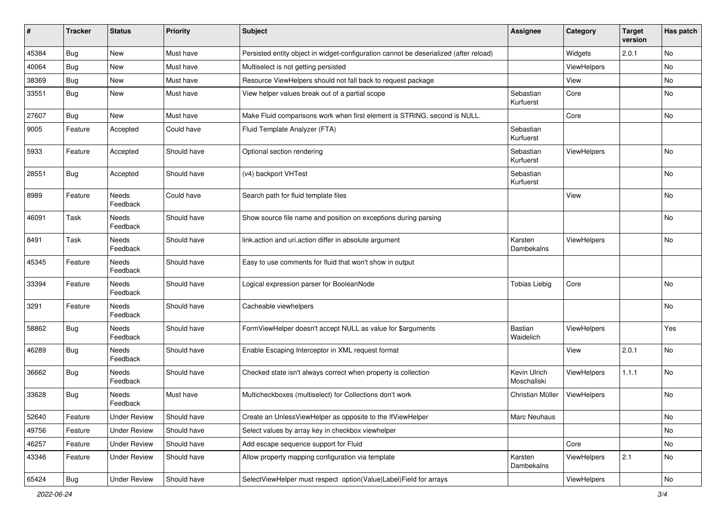| #     | <b>Tracker</b> | <b>Status</b>            | <b>Priority</b> | Subject                                                                               | Assignee                    | Category           | <b>Target</b><br>version | Has patch |
|-------|----------------|--------------------------|-----------------|---------------------------------------------------------------------------------------|-----------------------------|--------------------|--------------------------|-----------|
| 45384 | Bug            | New                      | Must have       | Persisted entity object in widget-configuration cannot be deserialized (after reload) |                             | Widgets            | 2.0.1                    | No        |
| 40064 | Bug            | New                      | Must have       | Multiselect is not getting persisted                                                  |                             | <b>ViewHelpers</b> |                          | No        |
| 38369 | <b>Bug</b>     | New                      | Must have       | Resource ViewHelpers should not fall back to request package                          |                             | View               |                          | No        |
| 33551 | <b>Bug</b>     | New                      | Must have       | View helper values break out of a partial scope                                       | Sebastian<br>Kurfuerst      | Core               |                          | No        |
| 27607 | Bug            | <b>New</b>               | Must have       | Make Fluid comparisons work when first element is STRING, second is NULL.             |                             | Core               |                          | No        |
| 9005  | Feature        | Accepted                 | Could have      | Fluid Template Analyzer (FTA)                                                         | Sebastian<br>Kurfuerst      |                    |                          |           |
| 5933  | Feature        | Accepted                 | Should have     | Optional section rendering                                                            | Sebastian<br>Kurfuerst      | <b>ViewHelpers</b> |                          | No        |
| 28551 | Bug            | Accepted                 | Should have     | (v4) backport VHTest                                                                  | Sebastian<br>Kurfuerst      |                    |                          | No.       |
| 8989  | Feature        | Needs<br>Feedback        | Could have      | Search path for fluid template files                                                  |                             | View               |                          | No        |
| 46091 | Task           | <b>Needs</b><br>Feedback | Should have     | Show source file name and position on exceptions during parsing                       |                             |                    |                          | No        |
| 8491  | Task           | Needs<br>Feedback        | Should have     | link.action and uri.action differ in absolute argument                                | Karsten<br>Dambekalns       | ViewHelpers        |                          | No        |
| 45345 | Feature        | Needs<br>Feedback        | Should have     | Easy to use comments for fluid that won't show in output                              |                             |                    |                          |           |
| 33394 | Feature        | Needs<br>Feedback        | Should have     | Logical expression parser for BooleanNode                                             | <b>Tobias Liebig</b>        | Core               |                          | No        |
| 3291  | Feature        | <b>Needs</b><br>Feedback | Should have     | Cacheable viewhelpers                                                                 |                             |                    |                          | No        |
| 58862 | <b>Bug</b>     | Needs<br>Feedback        | Should have     | FormViewHelper doesn't accept NULL as value for \$arguments                           | <b>Bastian</b><br>Waidelich | ViewHelpers        |                          | Yes       |
| 46289 | <b>Bug</b>     | <b>Needs</b><br>Feedback | Should have     | Enable Escaping Interceptor in XML request format                                     |                             | View               | 2.0.1                    | No        |
| 36662 | <b>Bug</b>     | <b>Needs</b><br>Feedback | Should have     | Checked state isn't always correct when property is collection                        | Kevin Ulrich<br>Moschallski | ViewHelpers        | 1.1.1                    | No        |
| 33628 | Bug            | Needs<br>Feedback        | Must have       | Multicheckboxes (multiselect) for Collections don't work                              | Christian Müller            | <b>ViewHelpers</b> |                          | No        |
| 52640 | Feature        | <b>Under Review</b>      | Should have     | Create an UnlessViewHelper as opposite to the IfViewHelper                            | Marc Neuhaus                |                    |                          | No        |
| 49756 | Feature        | <b>Under Review</b>      | Should have     | Select values by array key in checkbox viewhelper                                     |                             |                    |                          | No        |
| 46257 | Feature        | <b>Under Review</b>      | Should have     | Add escape sequence support for Fluid                                                 |                             | Core               |                          | No        |
| 43346 | Feature        | <b>Under Review</b>      | Should have     | Allow property mapping configuration via template                                     | Karsten<br>Dambekalns       | <b>ViewHelpers</b> | 2.1                      | No        |
| 65424 | Bug            | <b>Under Review</b>      | Should have     | SelectViewHelper must respect option(Value Label)Field for arrays                     |                             | ViewHelpers        |                          | No        |